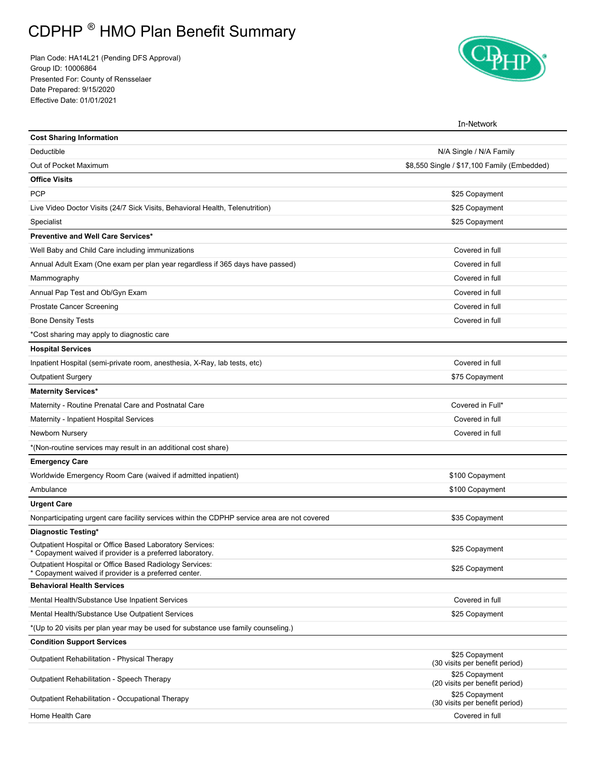## CDPHP ® HMO Plan Benefit Summary

Plan Code: HA14L21 (Pending DFS Approval) Group ID: 10006864 Presented For: County of Rensselaer Date Prepared: 9/15/2020 Effective Date: 01/01/2021



|                                                                                                                       | In-Network                                       |
|-----------------------------------------------------------------------------------------------------------------------|--------------------------------------------------|
| <b>Cost Sharing Information</b>                                                                                       |                                                  |
| Deductible                                                                                                            | N/A Single / N/A Family                          |
| Out of Pocket Maximum                                                                                                 | \$8,550 Single / \$17,100 Family (Embedded)      |
| <b>Office Visits</b>                                                                                                  |                                                  |
| <b>PCP</b>                                                                                                            | \$25 Copayment                                   |
| Live Video Doctor Visits (24/7 Sick Visits, Behavioral Health, Telenutrition)                                         | \$25 Copayment                                   |
| Specialist                                                                                                            | \$25 Copayment                                   |
| Preventive and Well Care Services*                                                                                    |                                                  |
| Well Baby and Child Care including immunizations                                                                      | Covered in full                                  |
| Annual Adult Exam (One exam per plan year regardless if 365 days have passed)                                         | Covered in full                                  |
| Mammography                                                                                                           | Covered in full                                  |
| Annual Pap Test and Ob/Gyn Exam                                                                                       | Covered in full                                  |
| <b>Prostate Cancer Screening</b>                                                                                      | Covered in full                                  |
| <b>Bone Density Tests</b>                                                                                             | Covered in full                                  |
| *Cost sharing may apply to diagnostic care                                                                            |                                                  |
| <b>Hospital Services</b>                                                                                              |                                                  |
| Inpatient Hospital (semi-private room, anesthesia, X-Ray, lab tests, etc)                                             | Covered in full                                  |
| <b>Outpatient Surgery</b>                                                                                             | \$75 Copayment                                   |
| <b>Maternity Services*</b>                                                                                            |                                                  |
| Maternity - Routine Prenatal Care and Postnatal Care                                                                  | Covered in Full*                                 |
| Maternity - Inpatient Hospital Services                                                                               | Covered in full                                  |
| Newborn Nursery                                                                                                       | Covered in full                                  |
| *(Non-routine services may result in an additional cost share)                                                        |                                                  |
| <b>Emergency Care</b>                                                                                                 |                                                  |
| Worldwide Emergency Room Care (waived if admitted inpatient)                                                          | \$100 Copayment                                  |
| Ambulance                                                                                                             | \$100 Copayment                                  |
| <b>Urgent Care</b>                                                                                                    |                                                  |
| Nonparticipating urgent care facility services within the CDPHP service area are not covered                          | \$35 Copayment                                   |
| Diagnostic Testing*                                                                                                   |                                                  |
| Outpatient Hospital or Office Based Laboratory Services:<br>* Copayment waived if provider is a preferred laboratory. | \$25 Copayment                                   |
| Outpatient Hospital or Office Based Radiology Services:<br>* Copayment waived if provider is a preferred center.      | \$25 Copayment                                   |
| <b>Behavioral Health Services</b>                                                                                     |                                                  |
| Mental Health/Substance Use Inpatient Services                                                                        | Covered in full                                  |
| Mental Health/Substance Use Outpatient Services                                                                       | \$25 Copayment                                   |
| *(Up to 20 visits per plan year may be used for substance use family counseling.)                                     |                                                  |
| <b>Condition Support Services</b>                                                                                     |                                                  |
| Outpatient Rehabilitation - Physical Therapy                                                                          | \$25 Copayment<br>(30 visits per benefit period) |
| Outpatient Rehabilitation - Speech Therapy                                                                            | \$25 Copayment<br>(20 visits per benefit period) |
| Outpatient Rehabilitation - Occupational Therapy                                                                      | \$25 Copayment<br>(30 visits per benefit period) |
| Home Health Care                                                                                                      | Covered in full                                  |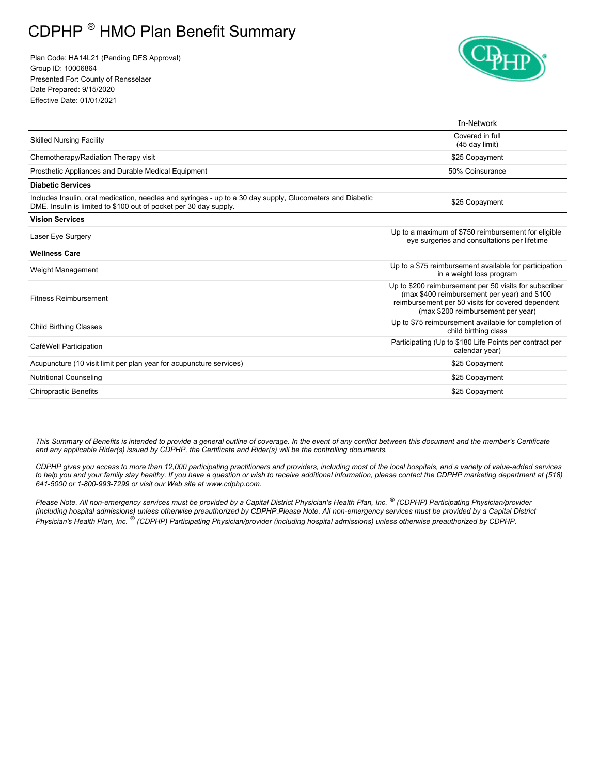## CDPHP ® HMO Plan Benefit Summary

Plan Code: HA14L21 (Pending DFS Approval) Group ID: 10006864 Presented For: County of Rensselaer Date Prepared: 9/15/2020 Effective Date: 01/01/2021



|                                                                                                                                                                                | In-Network                                                                                                                                                                                        |  |
|--------------------------------------------------------------------------------------------------------------------------------------------------------------------------------|---------------------------------------------------------------------------------------------------------------------------------------------------------------------------------------------------|--|
| <b>Skilled Nursing Facility</b>                                                                                                                                                | Covered in full<br>(45 day limit)                                                                                                                                                                 |  |
| Chemotherapy/Radiation Therapy visit                                                                                                                                           | \$25 Copayment                                                                                                                                                                                    |  |
| Prosthetic Appliances and Durable Medical Equipment                                                                                                                            | 50% Coinsurance                                                                                                                                                                                   |  |
| <b>Diabetic Services</b>                                                                                                                                                       |                                                                                                                                                                                                   |  |
| Includes Insulin, oral medication, needles and syringes - up to a 30 day supply, Glucometers and Diabetic<br>DME. Insulin is limited to \$100 out of pocket per 30 day supply. | \$25 Copayment                                                                                                                                                                                    |  |
| <b>Vision Services</b>                                                                                                                                                         |                                                                                                                                                                                                   |  |
| Laser Eye Surgery                                                                                                                                                              | Up to a maximum of \$750 reimbursement for eligible<br>eye surgeries and consultations per lifetime                                                                                               |  |
| <b>Wellness Care</b>                                                                                                                                                           |                                                                                                                                                                                                   |  |
| Weight Management                                                                                                                                                              | Up to a \$75 reimbursement available for participation<br>in a weight loss program                                                                                                                |  |
| <b>Fitness Reimbursement</b>                                                                                                                                                   | Up to \$200 reimbursement per 50 visits for subscriber<br>(max \$400 reimbursement per year) and \$100<br>reimbursement per 50 visits for covered dependent<br>(max \$200 reimbursement per year) |  |
| <b>Child Birthing Classes</b>                                                                                                                                                  | Up to \$75 reimbursement available for completion of<br>child birthing class                                                                                                                      |  |
| Participating (Up to \$180 Life Points per contract per<br>CaféWell Participation<br>calendar year)                                                                            |                                                                                                                                                                                                   |  |
| Acupuncture (10 visit limit per plan year for acupuncture services)                                                                                                            | \$25 Copayment                                                                                                                                                                                    |  |
| <b>Nutritional Counseling</b>                                                                                                                                                  | \$25 Copayment                                                                                                                                                                                    |  |
| \$25 Copayment<br><b>Chiropractic Benefits</b>                                                                                                                                 |                                                                                                                                                                                                   |  |

*This Summary of Benefits is intended to provide a general outline of coverage. In the event of any conflict between this document and the member's Certificate and any applicable Rider(s) issued by CDPHP, the Certificate and Rider(s) will be the controlling documents.* 

 *CDPHP gives you access to more than 12,000 participating practitioners and providers, including most of the local hospitals, and a variety of value-added services to help you and your family stay healthy. If you have a question or wish to receive additional information, please contact the CDPHP marketing department at (518) 641-5000 or 1-800-993-7299 or visit our Web site at www.cdphp.com.* 

 *Please Note. All non-emergency services must be provided by a Capital District Physician's Health Plan, Inc. ® (CDPHP) Participating Physician/provider (including hospital admissions) unless otherwise preauthorized by CDPHP.Please Note. All non-emergency services must be provided by a Capital District Physician's Health Plan, Inc. ® (CDPHP) Participating Physician/provider (including hospital admissions) unless otherwise preauthorized by CDPHP.*